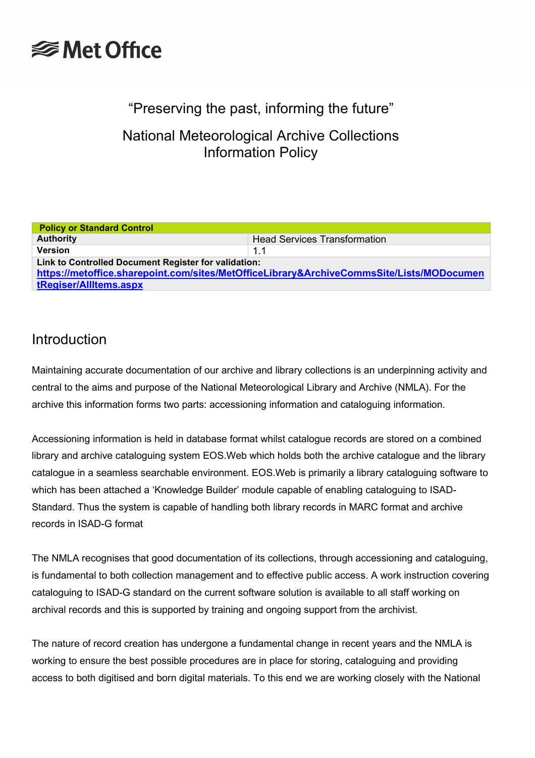### "Preserving the past, informing the future"

National Meteorological Archive Collections Information Policy

| <b>Policy or Standard Control</b>                                                                                                                                          |                                     |  |
|----------------------------------------------------------------------------------------------------------------------------------------------------------------------------|-------------------------------------|--|
| <b>Authority</b>                                                                                                                                                           | <b>Head Services Transformation</b> |  |
| <b>Version</b>                                                                                                                                                             | 1.1                                 |  |
| Link to Controlled Document Register for validation:<br>https://metoffice.sharepoint.com/sites/MetOfficeLibrary&ArchiveCommsSite/Lists/MODocumen<br>tRegiser/AllItems.aspx |                                     |  |

### Introduction

Maintaining accurate documentation of our archive and library collections is an underpinning activity and central to the aims and purpose of the National Meteorological Library and Archive (NMLA). For the archive this information forms two parts: accessioning information and cataloguing information.

Accessioning information is held in database format whilst catalogue records are stored on a combined library and archive cataloguing system EOS.Web which holds both the archive catalogue and the library catalogue in a seamless searchable environment. EOS.Web is primarily a library cataloguing software to which has been attached a 'Knowledge Builder' module capable of enabling cataloguing to ISAD-Standard. Thus the system is capable of handling both library records in MARC format and archive records in ISAD-G format

The NMLA recognises that good documentation of its collections, through accessioning and cataloguing, is fundamental to both collection management and to effective public access. A work instruction covering cataloguing to ISAD-G standard on the current software solution is available to all staff working on archival records and this is supported by training and ongoing support from the archivist.

The nature of record creation has undergone a fundamental change in recent years and the NMLA is working to ensure the best possible procedures are in place for storing, cataloguing and providing access to both digitised and born digital materials. To this end we are working closely with the National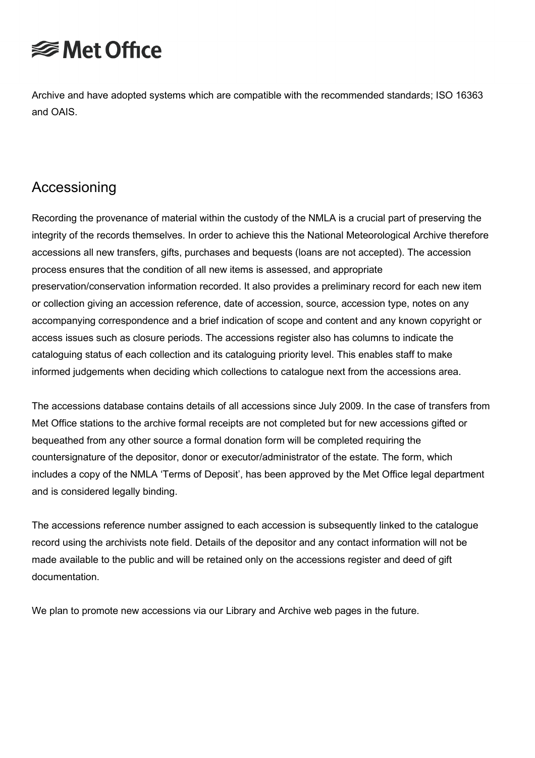Archive and have adopted systems which are compatible with the recommended standards; ISO 16363 and OAIS.

### Accessioning

Recording the provenance of material within the custody of the NMLA is a crucial part of preserving the integrity of the records themselves. In order to achieve this the National Meteorological Archive therefore accessions all new transfers, gifts, purchases and bequests (loans are not accepted). The accession process ensures that the condition of all new items is assessed, and appropriate preservation/conservation information recorded. It also provides a preliminary record for each new item or collection giving an accession reference, date of accession, source, accession type, notes on any accompanying correspondence and a brief indication of scope and content and any known copyright or access issues such as closure periods. The accessions register also has columns to indicate the cataloguing status of each collection and its cataloguing priority level. This enables staff to make informed judgements when deciding which collections to catalogue next from the accessions area.

The accessions database contains details of all accessions since July 2009. In the case of transfers from Met Office stations to the archive formal receipts are not completed but for new accessions gifted or bequeathed from any other source a formal donation form will be completed requiring the countersignature of the depositor, donor or executor/administrator of the estate. The form, which includes a copy of the NMLA 'Terms of Deposit', has been approved by the Met Office legal department and is considered legally binding.

The accessions reference number assigned to each accession is subsequently linked to the catalogue record using the archivists note field. Details of the depositor and any contact information will not be made available to the public and will be retained only on the accessions register and deed of gift documentation.

We plan to promote new accessions via our Library and Archive web pages in the future.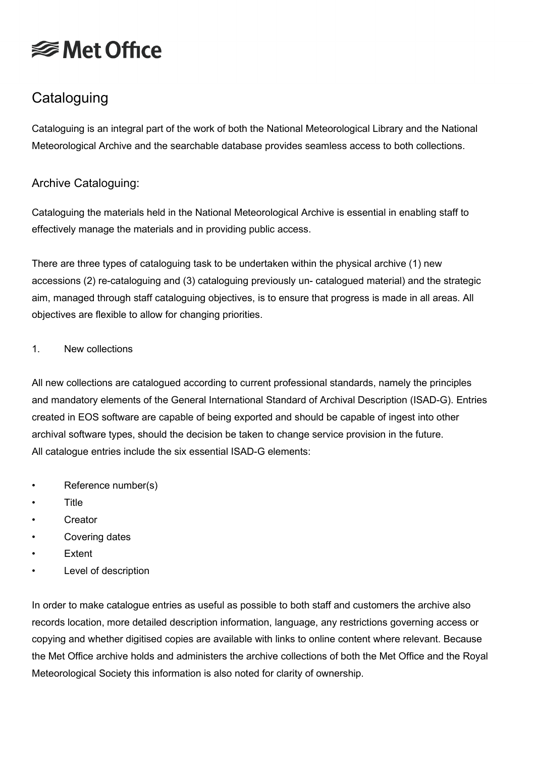## **Cataloguing**

Cataloguing is an integral part of the work of both the National Meteorological Library and the National Meteorological Archive and the searchable database provides seamless access to both collections.

### Archive Cataloguing:

Cataloguing the materials held in the National Meteorological Archive is essential in enabling staff to effectively manage the materials and in providing public access.

There are three types of cataloguing task to be undertaken within the physical archive (1) new accessions (2) re-cataloguing and (3) cataloguing previously un- catalogued material) and the strategic aim, managed through staff cataloguing objectives, is to ensure that progress is made in all areas. All objectives are flexible to allow for changing priorities.

#### 1. New collections

All new collections are catalogued according to current professional standards, namely the principles and mandatory elements of the General International Standard of Archival Description (ISAD-G). Entries created in EOS software are capable of being exported and should be capable of ingest into other archival software types, should the decision be taken to change service provision in the future. All catalogue entries include the six essential ISAD-G elements:

- Reference number(s)
- Title
- Creator
- Covering dates
- **Extent**
- Level of description

In order to make catalogue entries as useful as possible to both staff and customers the archive also records location, more detailed description information, language, any restrictions governing access or copying and whether digitised copies are available with links to online content where relevant. Because the Met Office archive holds and administers the archive collections of both the Met Office and the Royal Meteorological Society this information is also noted for clarity of ownership.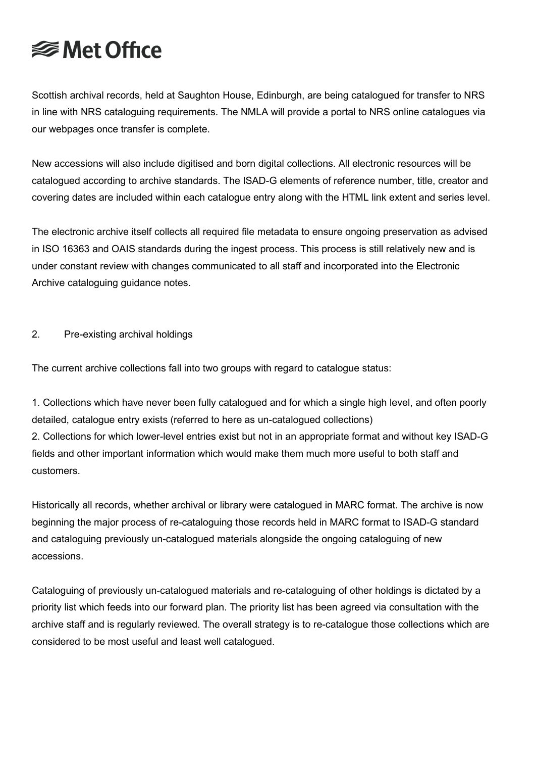Scottish archival records, held at Saughton House, Edinburgh, are being catalogued for transfer to NRS in line with NRS cataloguing requirements. The NMLA will provide a portal to NRS online catalogues via our webpages once transfer is complete.

New accessions will also include digitised and born digital collections. All electronic resources will be catalogued according to archive standards. The ISAD-G elements of reference number, title, creator and covering dates are included within each catalogue entry along with the HTML link extent and series level.

The electronic archive itself collects all required file metadata to ensure ongoing preservation as advised in ISO 16363 and OAIS standards during the ingest process. This process is still relatively new and is under constant review with changes communicated to all staff and incorporated into the Electronic Archive cataloguing guidance notes.

#### 2. Pre-existing archival holdings

The current archive collections fall into two groups with regard to catalogue status:

1. Collections which have never been fully catalogued and for which a single high level, and often poorly detailed, catalogue entry exists (referred to here as un-catalogued collections) 2. Collections for which lower-level entries exist but not in an appropriate format and without key ISAD-G fields and other important information which would make them much more useful to both staff and customers.

Historically all records, whether archival or library were catalogued in MARC format. The archive is now beginning the major process of re-cataloguing those records held in MARC format to ISAD-G standard and cataloguing previously un-catalogued materials alongside the ongoing cataloguing of new accessions.

Cataloguing of previously un-catalogued materials and re-cataloguing of other holdings is dictated by a priority list which feeds into our forward plan. The priority list has been agreed via consultation with the archive staff and is regularly reviewed. The overall strategy is to re-catalogue those collections which are considered to be most useful and least well catalogued.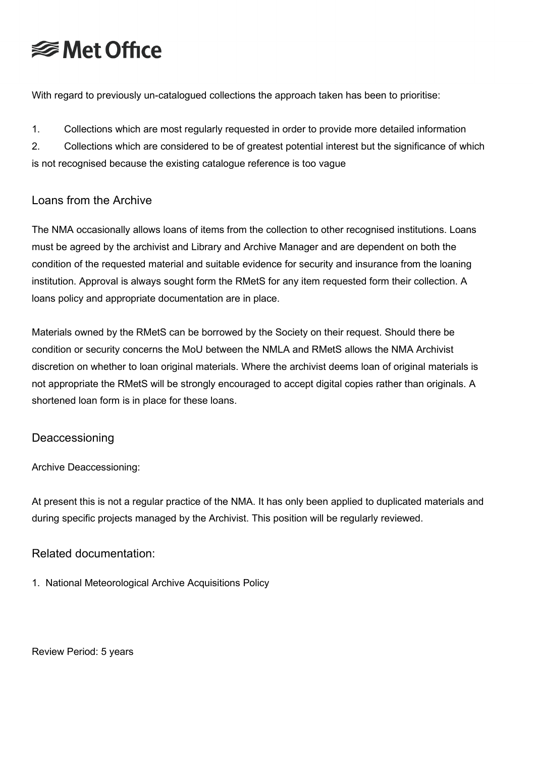With regard to previously un-catalogued collections the approach taken has been to prioritise:

1. Collections which are most regularly requested in order to provide more detailed information

2. Collections which are considered to be of greatest potential interest but the significance of which is not recognised because the existing catalogue reference is too vague

### Loans from the Archive

The NMA occasionally allows loans of items from the collection to other recognised institutions. Loans must be agreed by the archivist and Library and Archive Manager and are dependent on both the condition of the requested material and suitable evidence for security and insurance from the loaning institution. Approval is always sought form the RMetS for any item requested form their collection. A loans policy and appropriate documentation are in place.

Materials owned by the RMetS can be borrowed by the Society on their request. Should there be condition or security concerns the MoU between the NMLA and RMetS allows the NMA Archivist discretion on whether to loan original materials. Where the archivist deems loan of original materials is not appropriate the RMetS will be strongly encouraged to accept digital copies rather than originals. A shortened loan form is in place for these loans.

#### Deaccessioning

Archive Deaccessioning:

At present this is not a regular practice of the NMA. It has only been applied to duplicated materials and during specific projects managed by the Archivist. This position will be regularly reviewed.

#### Related documentation:

1. National Meteorological Archive Acquisitions Policy

Review Period: 5 years